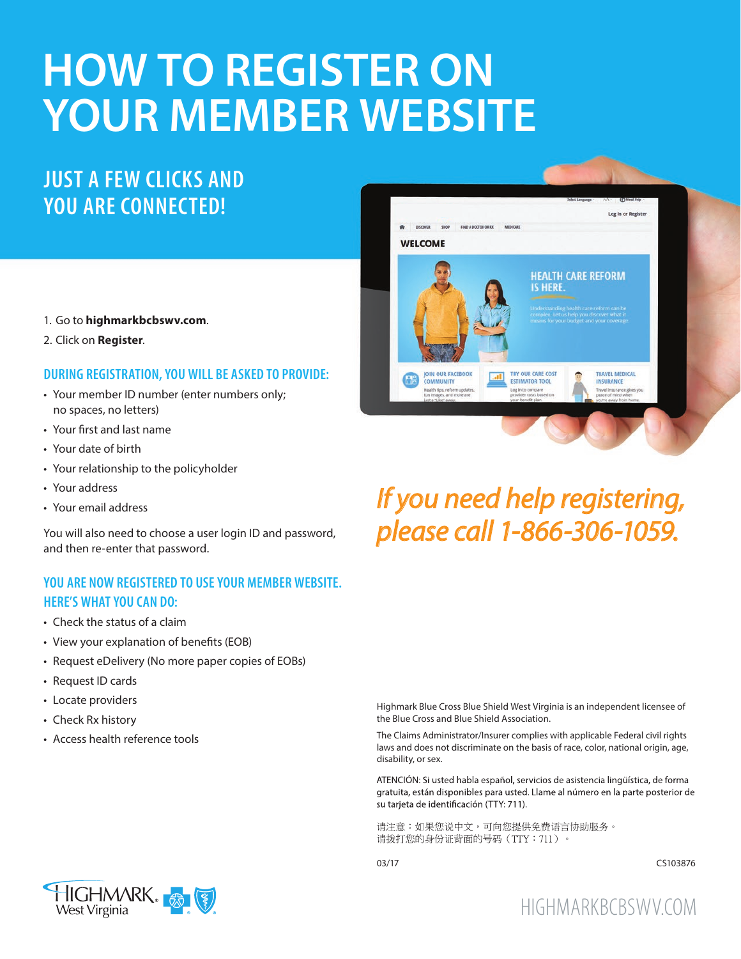# **HOW TO REGISTER ON YOUR MEMBER WEBSITE**

## **JUST A FEW CLICKS AND YOU ARE CONNECTED!**

- 1. Go to **highmarkbcbswv.com**.
- 2. Click on **Register**.

#### **DURING REGISTRATION, YOU WILL BE ASKED TO PROVIDE:**

- Your member ID number (enter numbers only; no spaces, no letters)
- Your first and last name
- Your date of birth
- Your relationship to the policyholder
- Your address
- Your email address

You will also need to choose a user login ID and password, and then re-enter that password.

#### **YOU ARE NOW REGISTERED TO USE YOUR MEMBER WEBSITE. HERE'S WHAT YOU CAN DO:**

- Check the status of a claim
- View your explanation of benefits (EOB)
- Request eDelivery (No more paper copies of EOBs)
- Request ID cards
- Locate providers
- Check Rx history
- Access health reference tools



# *If you need help registering, please call 1-866-306-1059.*

Highmark Blue Cross Blue Shield West Virginia is an independent licensee of the Blue Cross and Blue Shield Association.

The Claims Administrator/Insurer complies with applicable Federal civil rights laws and does not discriminate on the basis of race, color, national origin, age, disability, or sex.

ATENCIÓN: Si usted habla español, servicios de asistencia lingüística, de forma gratuita, están disponibles para usted. Llame al número en la parte posterior de su tarjeta de identificación (TTY: 711).

请注意:如果您说中文,可向您提供免费语言协助服务。 请拨打您的身份证背面的号码 (TTY: 711)。



03/17 CS103876



HIGHMARKBCBSWV.COM